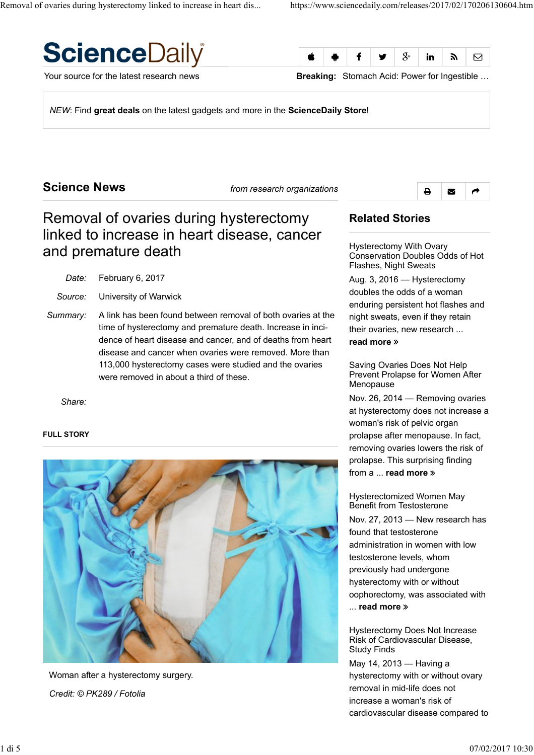



Your source for the latest research news **Breaking:** Stomach Acid: Power for Ingestible …

*NEW*: Find **great deals** on the latest gadgets and more in the **ScienceDaily Store**!

## **Science News** *from research organizations*



# Removal of ovaries during hysterectomy linked to increase in heart disease, cancer and premature death

*Date:* February 6, 2017

*Source:* University of Warwick

*Summary:* A link has been found between removal of both ovaries at the time of hysterectomy and premature death. Increase in incidence of heart disease and cancer, and of deaths from heart disease and cancer when ovaries were removed. More than 113,000 hysterectomy cases were studied and the ovaries were removed in about a third of these.

*Share:*

#### **FULL STORY**



Woman after a hysterectomy surgery. *Credit: © PK289 / Fotolia*

## **Related Stories**

Hysterectomy With Ovary Conservation Doubles Odds of Hot Flashes, Night Sweats

Aug. 3, 2016 — Hysterectomy doubles the odds of a woman enduring persistent hot flashes and night sweats, even if they retain their ovaries, new research ... **read more**

Saving Ovaries Does Not Help Prevent Prolapse for Women After Menopause

Nov. 26, 2014 — Removing ovaries at hysterectomy does not increase a woman's risk of pelvic organ prolapse after menopause. In fact, removing ovaries lowers the risk of prolapse. This surprising finding from a ... **read more**

Hysterectomized Women May Benefit from Testosterone Nov. 27, 2013 — New research has found that testosterone administration in women with low testosterone levels, whom previously had undergone hysterectomy with or without oophorectomy, was associated with ... **read more**

Hysterectomy Does Not Increase Risk of Cardiovascular Disease, Study Finds

May 14, 2013 — Having a hysterectomy with or without ovary removal in mid-life does not increase a woman's risk of cardiovascular disease compared to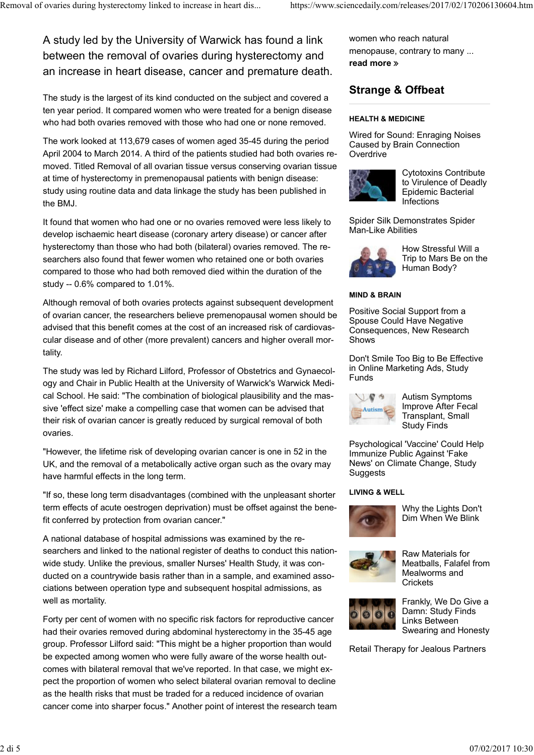A study led by the University of Warwick has found a link between the removal of ovaries during hysterectomy and an increase in heart disease, cancer and premature death.

The study is the largest of its kind conducted on the subject and covered a ten year period. It compared women who were treated for a benign disease who had both ovaries removed with those who had one or none removed.

The work looked at 113,679 cases of women aged 35-45 during the period April 2004 to March 2014. A third of the patients studied had both ovaries removed. Titled Removal of all ovarian tissue versus conserving ovarian tissue at time of hysterectomy in premenopausal patients with benign disease: study using routine data and data linkage the study has been published in the BMJ.

It found that women who had one or no ovaries removed were less likely to develop ischaemic heart disease (coronary artery disease) or cancer after hysterectomy than those who had both (bilateral) ovaries removed. The researchers also found that fewer women who retained one or both ovaries compared to those who had both removed died within the duration of the study -- 0.6% compared to 1.01%.

Although removal of both ovaries protects against subsequent development of ovarian cancer, the researchers believe premenopausal women should be advised that this benefit comes at the cost of an increased risk of cardiovascular disease and of other (more prevalent) cancers and higher overall mortality.

The study was led by Richard Lilford, Professor of Obstetrics and Gynaecology and Chair in Public Health at the University of Warwick's Warwick Medical School. He said: "The combination of biological plausibility and the massive 'effect size' make a compelling case that women can be advised that their risk of ovarian cancer is greatly reduced by surgical removal of both ovaries.

"However, the lifetime risk of developing ovarian cancer is one in 52 in the UK, and the removal of a metabolically active organ such as the ovary may have harmful effects in the long term.

"If so, these long term disadvantages (combined with the unpleasant shorter term effects of acute oestrogen deprivation) must be offset against the benefit conferred by protection from ovarian cancer."

A national database of hospital admissions was examined by the researchers and linked to the national register of deaths to conduct this nationwide study. Unlike the previous, smaller Nurses' Health Study, it was conducted on a countrywide basis rather than in a sample, and examined associations between operation type and subsequent hospital admissions, as well as mortality.

Forty per cent of women with no specific risk factors for reproductive cancer had their ovaries removed during abdominal hysterectomy in the 35-45 age group. Professor Lilford said: "This might be a higher proportion than would be expected among women who were fully aware of the worse health outcomes with bilateral removal that we've reported. In that case, we might expect the proportion of women who select bilateral ovarian removal to decline as the health risks that must be traded for a reduced incidence of ovarian cancer come into sharper focus." Another point of interest the research team women who reach natural menopause, contrary to many ... **read more**

## **Strange & Offbeat**

#### **HEALTH & MEDICINE**

Wired for Sound: Enraging Noises Caused by Brain Connection Overdrive



Cytotoxins Contribute to Virulence of Deadly Epidemic Bacterial **Infections** 

Spider Silk Demonstrates Spider Man-Like Abilities



How Stressful Will a Trip to Mars Be on the Human Body?

#### **MIND & BRAIN**

Positive Social Support from a Spouse Could Have Negative Consequences, New Research Shows

Don't Smile Too Big to Be Effective in Online Marketing Ads, Study Funds



Autism Symptoms Improve After Fecal Transplant, Small Study Finds

Psychological 'Vaccine' Could Help Immunize Public Against 'Fake News' on Climate Change, Study Suggests

#### **LIVING & WELL**



Why the Lights Don't Dim When We Blink



Raw Materials for Meatballs, Falafel from Mealworms and **Crickets** 



Frankly, We Do Give a Damn: Study Finds Links Between Swearing and Honesty

Retail Therapy for Jealous Partners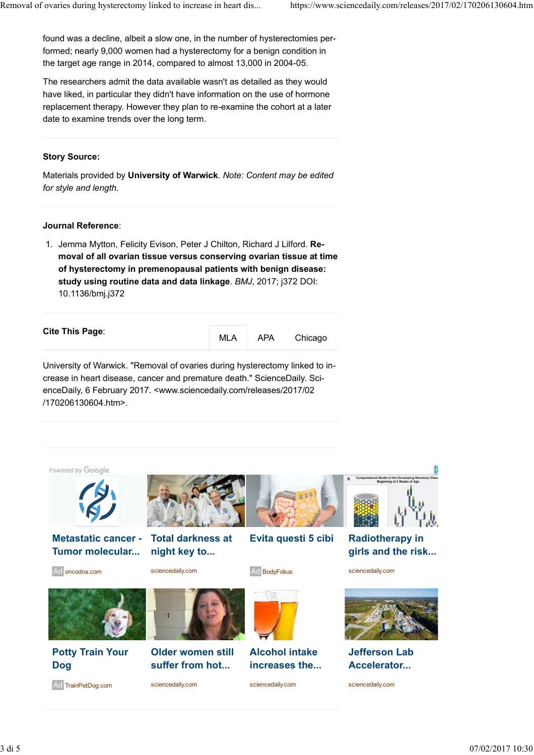found was a decline, albeit a slow one, in the number of hysterectomies performed; nearly 9,000 women had a hysterectomy for a benign condition in the target age range in 2014, compared to almost 13,000 in 2004-05.

The researchers admit the data available wasn't as detailed as they would have liked, in particular they didn't have information on the use of hormone replacement therapy. However they plan to re-examine the cohort at a later date to examine trends over the long term.

#### **Story Source:**

Materials provided by **University of Warwick**. *Note: Content may be edited for style and length.*

#### **Journal Reference**:

1. Jemma Mytton, Felicity Evison, Peter J Chilton, Richard J Lilford. Re**moval of all ovarian tissue versus conserving ovarian tissue at time of hysterectomy in premenopausal patients with benign disease: study using routine data and data linkage**. *BMJ*, 2017; j372 DOI: 10.1136/bmj.j372

|  | Cite This Page: | <b>MLA</b> | <b>APA</b> | Chicago |
|--|-----------------|------------|------------|---------|
|--|-----------------|------------|------------|---------|

University of Warwick. "Removal of ovaries during hysterectomy linked to increase in heart disease, cancer and premature death." ScienceDaily. ScienceDaily, 6 February 2017. <www.sciencedaily.com/releases/2017/02 /170206130604.htm>.

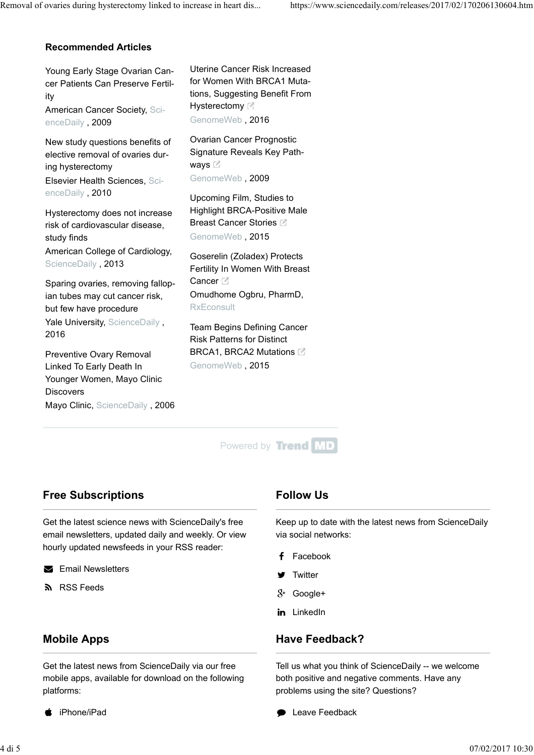#### **Recommended Articles**

Young Early Stage Ovarian Cancer Patients Can Preserve Fertility American Cancer Society, Sci-

enceDaily , 2009

New study questions benefits of elective removal of ovaries during hysterectomy Elsevier Health Sciences, ScienceDaily , 2010

Hysterectomy does not increase risk of cardiovascular disease, study finds American College of Cardiology, ScienceDaily , 2013

Sparing ovaries, removing fallopian tubes may cut cancer risk, but few have procedure

Yale University, ScienceDaily, 2016

Preventive Ovary Removal Linked To Early Death In Younger Women, Mayo Clinic **Discovers** 

Mayo Clinic, ScienceDaily, 2006

Uterine Cancer Risk Increased for Women With BRCA1 Mutations, Suggesting Benefit From Hysterectomy<sup>1</sup> GenomeWeb , 2016

Ovarian Cancer Prognostic Signature Reveals Key Pathways **C** GenomeWeb , 2009

Upcoming Film, Studies to Highlight BRCA-Positive Male Breast Cancer Stories  $\boxdot$ GenomeWeb , 2015

Goserelin (Zoladex) Protects Fertility In Women With Breast Cancer<sup>[2]</sup> Omudhome Ogbru, PharmD, **RxEconsult** 

Team Begins Defining Cancer Risk Patterns for Distinct BRCA1, BRCA2 Mutations GenomeWeb , 2015



## **Free Subscriptions**

Get the latest science news with ScienceDaily's free email newsletters, updated daily and weekly. Or view hourly updated newsfeeds in your RSS reader:

**Email Newsletters** 

**S** RSS Feeds

## **Mobile Apps**

Get the latest news from ScienceDaily via our free mobile apps, available for download on the following platforms:

iPhone/iPad

## **Follow Us**

Keep up to date with the latest news from ScienceDaily via social networks:

- Facebook
- **Twitter**
- $8<sup>+</sup>$  Google+
- in LinkedIn

## **Have Feedback?**

Tell us what you think of ScienceDaily -- we welcome both positive and negative comments. Have any problems using the site? Questions?

Leave Feedback